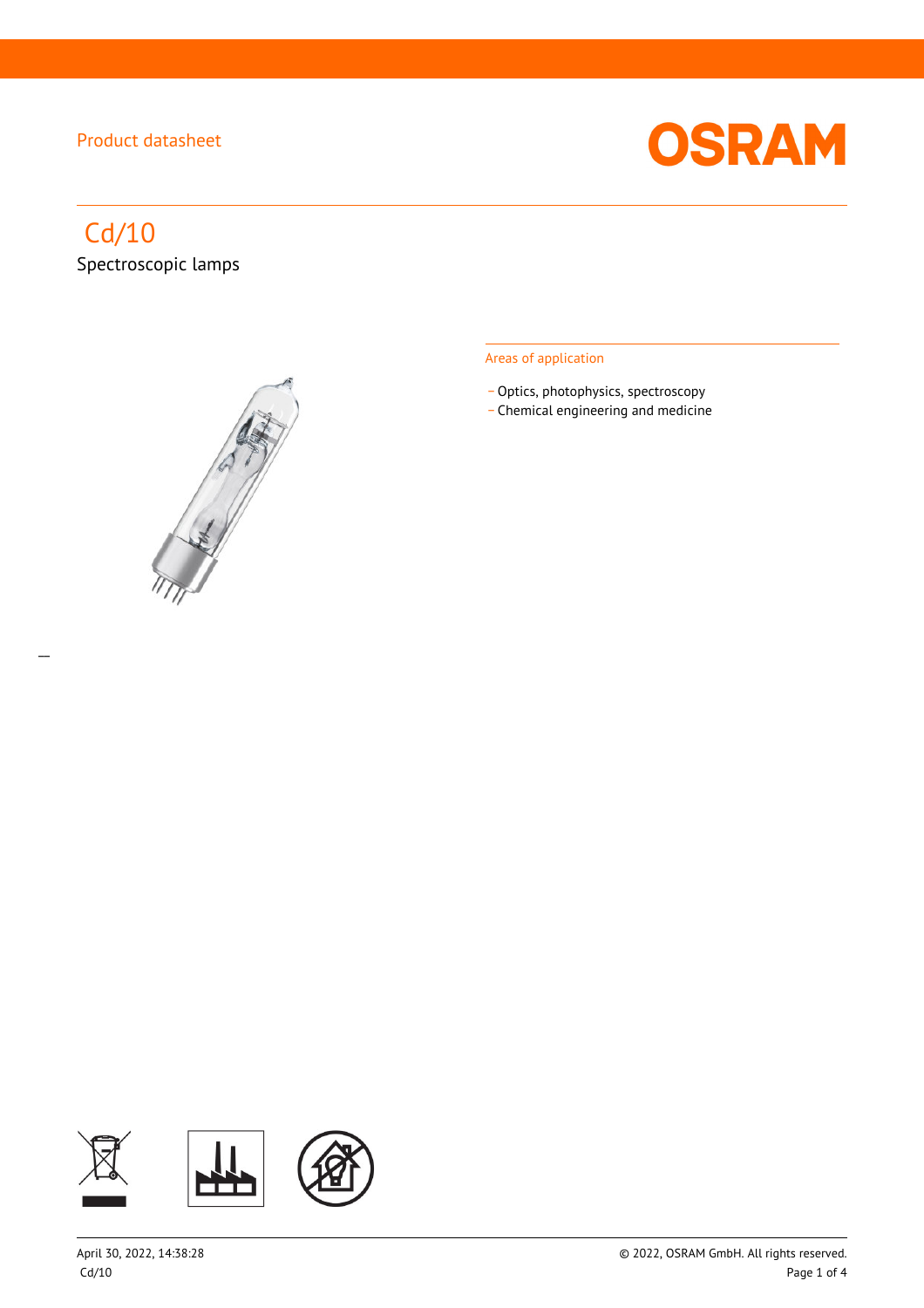

# Cd/10

 $\overline{a}$ 

Spectroscopic lamps



#### Areas of application

- Optics, photophysics, spectroscopy
- \_ Chemical engineering and medicine

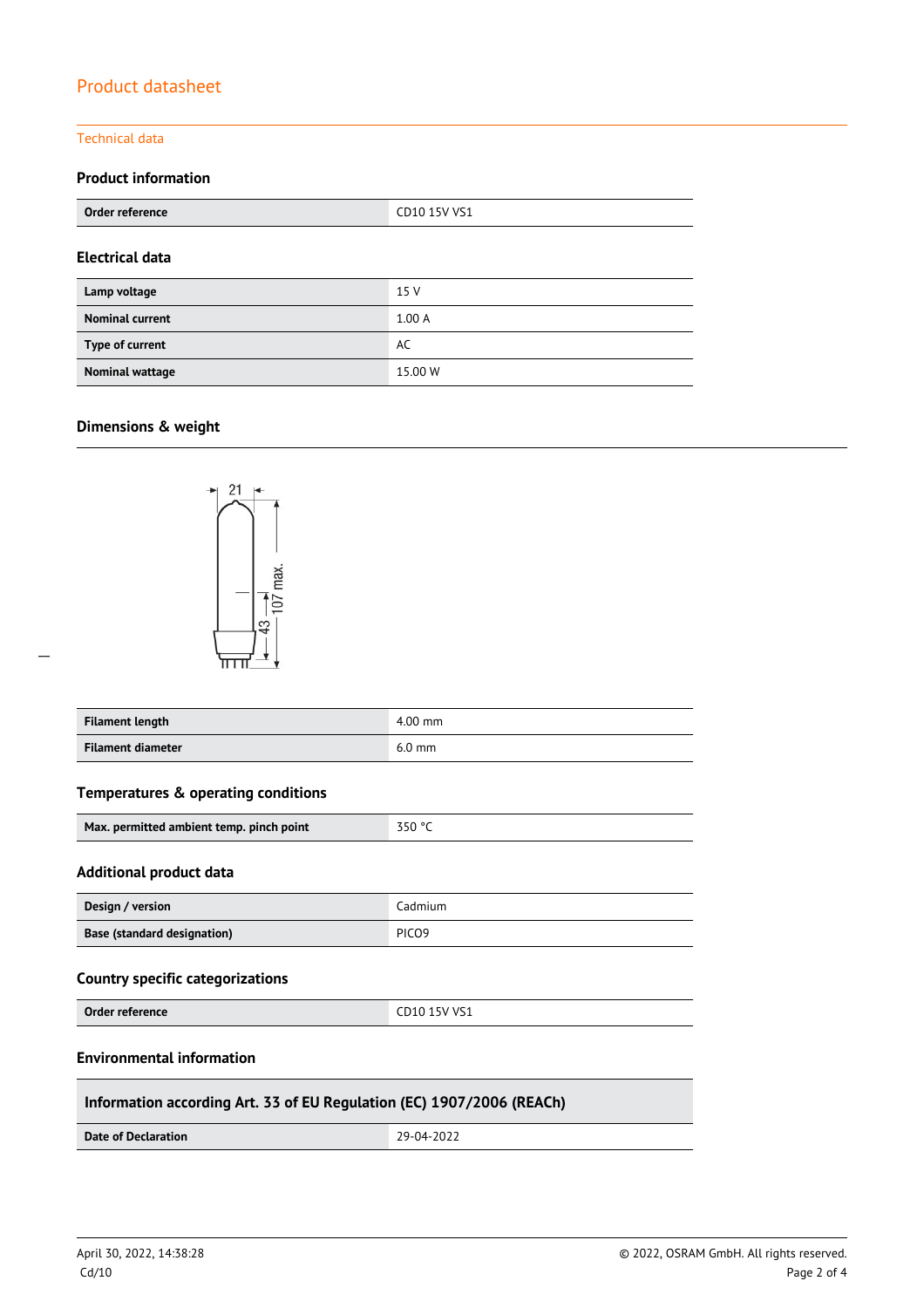#### Technical data

#### **Product information**

| Order reference        | CD10 15V VS1 |  |
|------------------------|--------------|--|
| <b>Electrical data</b> |              |  |
| Lamp voltage           | 15 V         |  |
| <b>Nominal current</b> | 1.00A        |  |
| Type of current        | AC           |  |
| Nominal wattage        | 15.00 W      |  |

#### **Dimensions & weight**

 $\overline{a}$ 



| Filament length   | $4.00$ mm |
|-------------------|-----------|
| Filament diameter | $6.0$ mm  |

### **Temperatures & operating conditions**

| $-350$ °C<br>Max. permitted ambient temp. pinch point |  |
|-------------------------------------------------------|--|
|-------------------------------------------------------|--|

#### **Additional product data**

| Design / version                   | Cadmium           |
|------------------------------------|-------------------|
| <b>Base (standard designation)</b> | PICO <sub>9</sub> |

### **Country specific categorizations**

**Order reference** CD10 15V VS1

#### **Environmental information**

### **Information according Art. 33 of EU Regulation (EC) 1907/2006 (REACh)**

**Date of Declaration** 29-04-2022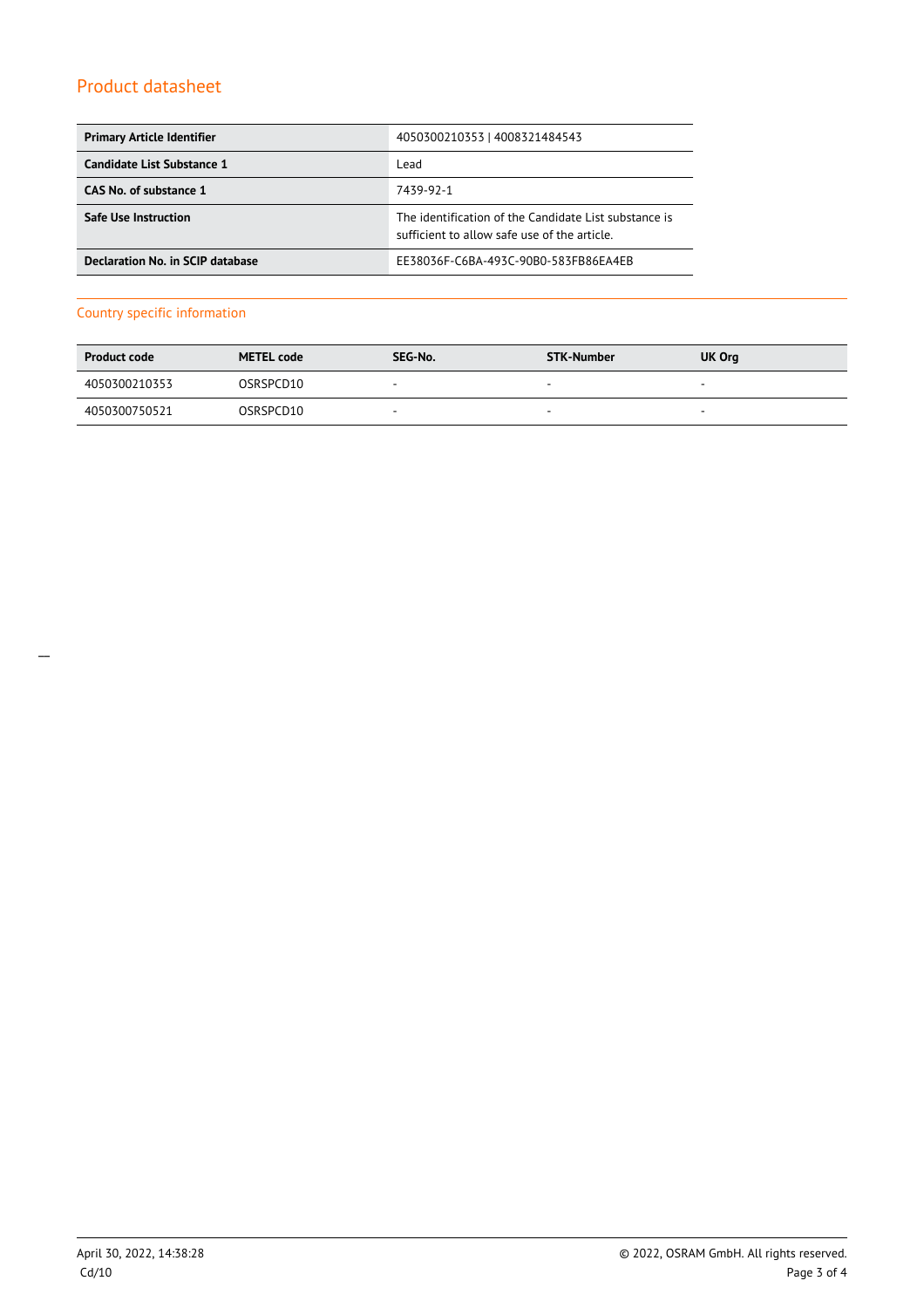| <b>Primary Article Identifier</b> | 4050300210353   4008321484543                                                                         |
|-----------------------------------|-------------------------------------------------------------------------------------------------------|
| Candidate List Substance 1        | Lead                                                                                                  |
| CAS No. of substance 1            | 7439-92-1                                                                                             |
| <b>Safe Use Instruction</b>       | The identification of the Candidate List substance is<br>sufficient to allow safe use of the article. |
| Declaration No. in SCIP database  | EE38036F-C6BA-493C-90B0-583FB86EA4EB                                                                  |

### Country specific information

| <b>Product code</b> | <b>METEL code</b> | SEG-No.                  | STK-Number               | UK Org                   |
|---------------------|-------------------|--------------------------|--------------------------|--------------------------|
| 4050300210353       | OSRSPCD10         | $\overline{\phantom{a}}$ | $\overline{\phantom{a}}$ | $\overline{\phantom{a}}$ |
| 4050300750521       | OSRSPCD10         | $\overline{\phantom{a}}$ | $\sim$                   | $\overline{\phantom{a}}$ |